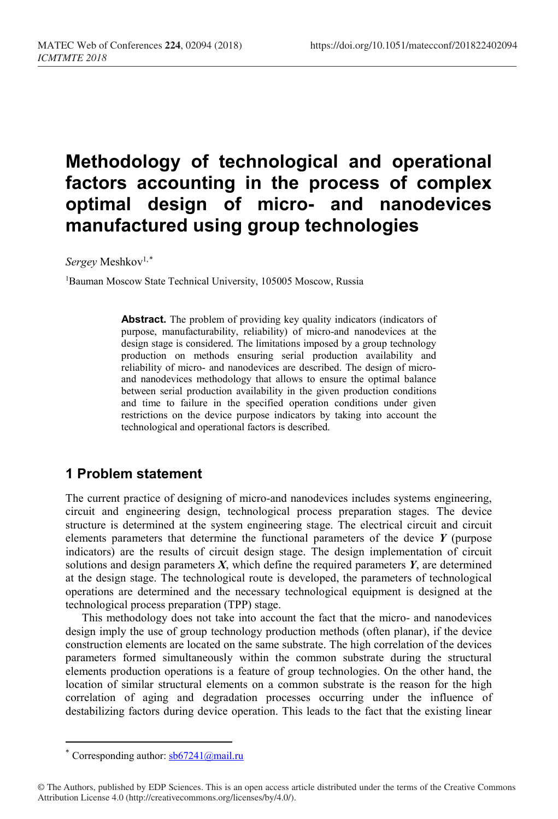# **Methodology of technological and operational factors accounting in the process of complex optimal design of micro- and nanodevices manufactured using group technologies**

*Sergey* Meshkov1,[\\*](#page-0-0)

<sup>1</sup>Bauman Moscow State Technical University, 105005 Moscow, Russia

Abstract. The problem of providing key quality indicators (indicators of purpose, manufacturability, reliability) of micro-and nanodevices at the design stage is considered. The limitations imposed by a group technology production on methods ensuring serial production availability and reliability of micro- and nanodevices are described. The design of microand nanodevices methodology that allows to ensure the optimal balance between serial production availability in the given production conditions and time to failure in the specified operation conditions under given restrictions on the device purpose indicators by taking into account the technological and operational factors is described.

## **1 Problem statement**

The current practice of designing of micro-and nanodevices includes systems engineering, circuit and engineering design, technological process preparation stages. The device structure is determined at the system engineering stage. The electrical circuit and circuit elements parameters that determine the functional parameters of the device *Y* (purpose indicators) are the results of circuit design stage. The design implementation of circuit solutions and design parameters *X*, which define the required parameters *Y*, are determined at the design stage. The technological route is developed, the parameters of technological operations are determined and the necessary technological equipment is designed at the technological process preparation (TPP) stage.

This methodology does not take into account the fact that the micro- and nanodevices design imply the use of group technology production methods (often planar), if the device construction elements are located on the same substrate. The high correlation of the devices parameters formed simultaneously within the common substrate during the structural elements production operations is a feature of group technologies. On the other hand, the location of similar structural elements on a common substrate is the reason for the high correlation of aging and degradation processes occurring under the influence of destabilizing factors during device operation. This leads to the fact that the existing linear

 $\overline{a}$ 

Corresponding author:  $s\frac{b67241}{\omega}$ mail.ru

<span id="page-0-0"></span><sup>©</sup> The Authors, published by EDP Sciences. This is an open access article distributed under the terms of the Creative Commons Attribution License 4.0 (http://creativecommons.org/licenses/by/4.0/).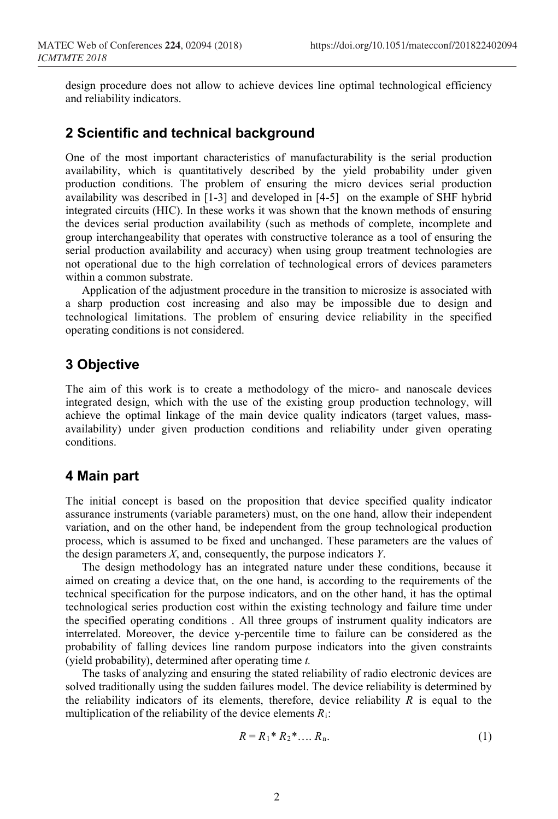design procedure does not allow to achieve devices line optimal technological efficiency and reliability indicators.

### **2 Scientific and technical background**

One of the most important characteristics of manufacturability is the serial production availability, which is quantitatively described by the yield probability under given production conditions. The problem of ensuring the micro devices serial production availability was described in [1-3] and developed in [4-5] on the example of SHF hybrid integrated circuits (HIC). In these works it was shown that the known methods of ensuring the devices serial production availability (such as methods of complete, incomplete and group interchangeability that operates with constructive tolerance as a tool of ensuring the serial production availability and accuracy) when using group treatment technologies are not operational due to the high correlation of technological errors of devices parameters within a common substrate.

Application of the adjustment procedure in the transition to microsize is associated with a sharp production cost increasing and also may be impossible due to design and technological limitations. The problem of ensuring device reliability in the specified operating conditions is not considered.

#### **3 Objective**

The aim of this work is to create a methodology of the micro- and nanoscale devices integrated design, which with the use of the existing group production technology, will achieve the optimal linkage of the main device quality indicators (target values, massavailability) under given production conditions and reliability under given operating conditions.

#### **4 Main part**

The initial concept is based on the proposition that device specified quality indicator assurance instruments (variable parameters) must, on the one hand, allow their independent variation, and on the other hand, be independent from the group technological production process, which is assumed to be fixed and unchanged. These parameters are the values of the design parameters *X*, and, consequently, the purpose indicators *Y*.

The design methodology has an integrated nature under these conditions, because it aimed on creating a device that, on the one hand, is according to the requirements of the technical specification for the purpose indicators, and on the other hand, it has the optimal technological series production cost within the existing technology and failure time under the specified operating conditions . All three groups of instrument quality indicators are interrelated. Moreover, the device y-percentile time to failure can be considered as the probability of falling devices line random purpose indicators into the given constraints (yield probability), determined after operating time *t.*

The tasks of analyzing and ensuring the stated reliability of radio electronic devices are solved traditionally using the sudden failures model. The device reliability is determined by the reliability indicators of its elements, therefore, device reliability *R* is equal to the multiplication of the reliability of the device elements *R*i:

$$
R = R_1^* R_2^* \dots R_n. \tag{1}
$$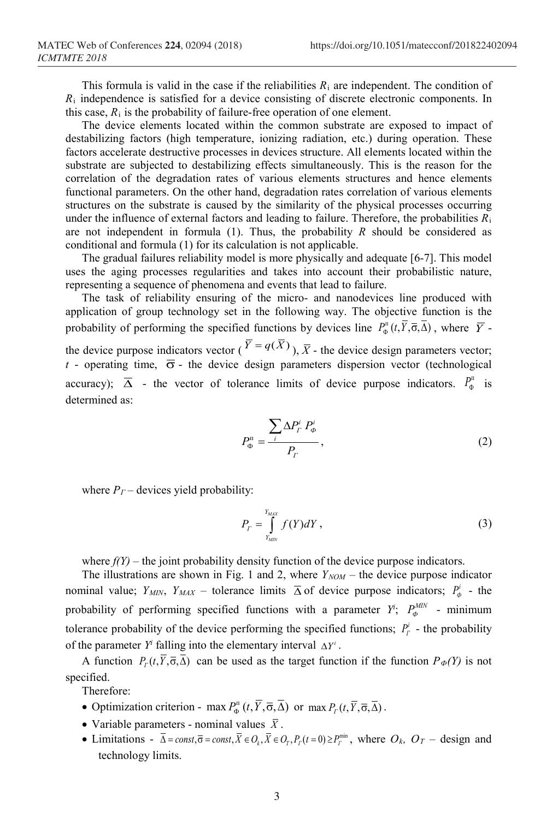This formula is valid in the case if the reliabilities  $R_i$  are independent. The condition of  $R_i$  independence is satisfied for a device consisting of discrete electronic components. In this case,  $R_i$  is the probability of failure-free operation of one element.

The device elements located within the common substrate are exposed to impact of destabilizing factors (high temperature, ionizing radiation, etc.) during operation. These factors accelerate destructive processes in devices structure. All elements located within the substrate are subjected to destabilizing effects simultaneously. This is the reason for the correlation of the degradation rates of various elements structures and hence elements functional parameters. On the other hand, degradation rates correlation of various elements structures on the substrate is caused by the similarity of the physical processes occurring under the influence of external factors and leading to failure. Therefore, the probabilities  $R_i$ are not independent in formula (1). Thus, the probability *R* should be considered as conditional and formula (1) for its calculation is not applicable.

The gradual failures reliability model is more physically and adequate [6-7]. This model uses the aging processes regularities and takes into account their probabilistic nature, representing a sequence of phenomena and events that lead to failure.

The task of reliability ensuring of the micro- and nanodevices line produced with application of group technology set in the following way. The objective function is the probability of performing the specified functions by devices line  $P_{\Phi}^{\pi}(t, Y, \overline{\sigma}, \Delta)$ , where  $\overline{Y}$  the device purpose indicators vector ( $\overline{Y} = q(\overline{X})$ ),  $\overline{X}$  - the device design parameters vector; *t* - operating time,  $\overline{\sigma}$  - the device design parameters dispersion vector (technological accuracy);  $\overline{\Delta}$  - the vector of tolerance limits of device purpose indicators.  $P_{\phi}^{\text{m}}$  is determined as:

$$
P_{\Phi}^{\mathrm{n}} = \frac{\sum_{i} \Delta P_{i}^{i} P_{\Phi}^{i}}{P_{\Gamma}}, \qquad (2)
$$

where  $P_T$  – devices yield probability:

$$
P_{T} = \int_{Y_{MIN}}^{Y_{MAX}} f(Y)dY,
$$
\n(3)

where  $f(Y)$  – the joint probability density function of the device purpose indicators.

The illustrations are shown in Fig. 1 and 2, where  $Y_{NOM}$  – the device purpose indicator nominal value;  $Y_{MIN}$ ,  $Y_{MAX}$  – tolerance limits  $\overline{\Delta}$  of device purpose indicators;  $P^i_{\phi}$  - the probability of performing specified functions with a parameter  $Y$ ;  $P_{\phi}^{MIN}$  - minimum tolerance probability of the device performing the specified functions;  $P^i_r$  - the probability of the parameter  $Y^i$  falling into the elementary interval  $\Delta Y^i$ .

A function  $P_r(t, \overline{Y}, \overline{\sigma}, \overline{\Delta})$  can be used as the target function if the function  $P_{\phi}(Y)$  is not specified.

Therefore:

- Optimization criterion max  $P_0$ <sup>n</sup>  $(t, \overline{Y}, \overline{\sigma}, \overline{\Delta})$  or max  $P_r(t, \overline{Y}, \overline{\sigma}, \overline{\Delta})$ .
- Variable parameters nominal values  $\bar{X}$ .
- Limitations  $\bar{\Delta} = const, \bar{\sigma} = const, \bar{X} \in O_i, \bar{X} \in O_r, P_r(t=0) \ge P_r^{\min}$ , where  $O_k$ ,  $O_T$  design and technology limits.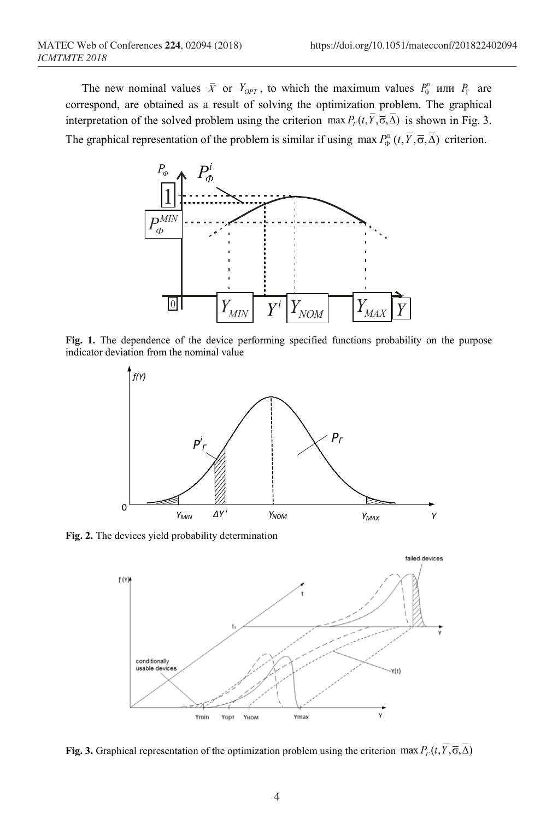The new nominal values  $\bar{X}$  or  $Y_{OPT}$ , to which the maximum values  $P_{\Phi}^{\mu}$  или  $P_{\Gamma}$  are correspond, are obtained as a result of solving the optimization problem. The graphical interpretation of the solved problem using the criterion max  $P_T(t, \overline{Y}, \overline{\sigma}, \overline{\Delta})$  is shown in Fig. 3. The graphical representation of the problem is similar if using  $\max P_{\Phi}^{n}(t, \overline{Y}, \overline{\sigma}, \overline{\Delta})$  criterion.



**Fig. 1.** The dependence of the device performing specified functions probability on the purpose indicator deviation from the nominal value



**Fig. 2.** The devices yield probability determination



**Fig. 3.** Graphical representation of the optimization problem using the criterion max  $P_T(t, \overline{Y}, \overline{\sigma}, \overline{\Delta})$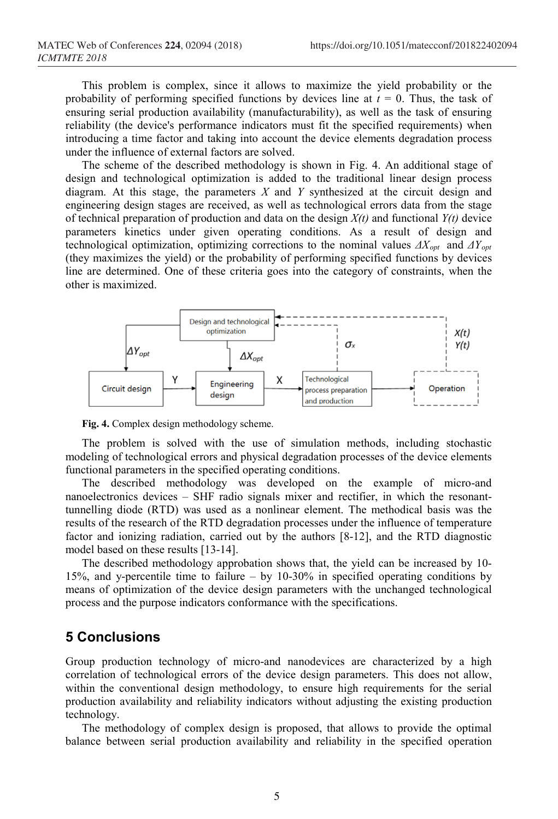This problem is complex, since it allows to maximize the yield probability or the probability of performing specified functions by devices line at  $t = 0$ . Thus, the task of ensuring serial production availability (manufacturability), as well as the task of ensuring reliability (the device's performance indicators must fit the specified requirements) when introducing a time factor and taking into account the device elements degradation process under the influence of external factors are solved.

The scheme of the described methodology is shown in Fig. 4. An additional stage of design and technological optimization is added to the traditional linear design process diagram. At this stage, the parameters *X* and *Y* synthesized at the circuit design and engineering design stages are received, as well as technological errors data from the stage of technical preparation of production and data on the design *X(t)* and functional *Y(t)* device parameters kinetics under given operating conditions. As a result of design and technological optimization, optimizing corrections to the nominal values *ΔXopt* and *ΔYopt* (they maximizes the yield) or the probability of performing specified functions by devices line are determined. One of these criteria goes into the category of constraints, when the other is maximized.



**Fig. 4.** Complex design methodology scheme.

The problem is solved with the use of simulation methods, including stochastic modeling of technological errors and physical degradation processes of the device elements functional parameters in the specified operating conditions.

The described methodology was developed on the example of micro-and nanoelectronics devices – SHF radio signals mixer and rectifier, in which the resonanttunnelling diode (RTD) was used as a nonlinear element. The methodical basis was the results of the research of the RTD degradation processes under the influence of temperature factor and ionizing radiation, carried out by the authors [8-12], and the RTD diagnostic model based on these results [13-14].

The described methodology approbation shows that, the yield can be increased by 10- 15%, and y-percentile time to failure – by 10-30% in specified operating conditions by means of optimization of the device design parameters with the unchanged technological process and the purpose indicators conformance with the specifications.

#### **5 Conclusions**

Group production technology of micro-and nanodevices are characterized by a high correlation of technological errors of the device design parameters. This does not allow, within the conventional design methodology, to ensure high requirements for the serial production availability and reliability indicators without adjusting the existing production technology.

The methodology of complex design is proposed, that allows to provide the optimal balance between serial production availability and reliability in the specified operation